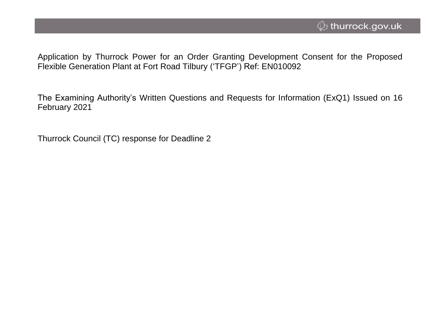Application by Thurrock Power for an Order Granting Development Consent for the Proposed Flexible Generation Plant at Fort Road Tilbury ('TFGP') Ref: EN010092

The Examining Authority's Written Questions and Requests for Information (ExQ1) Issued on 16 February 2021

Thurrock Council (TC) response for Deadline 2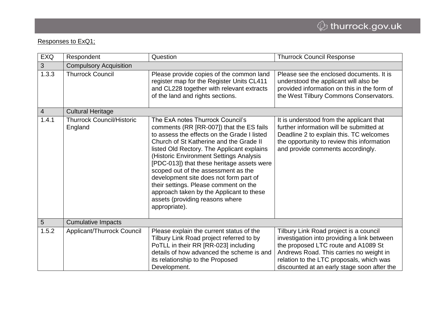## Responses to ExQ1;

| <b>EXQ</b>     | Respondent                                  | Question                                                                                                                                                                                                                                                                                                                                                                                                                                                                                                                                | <b>Thurrock Council Response</b>                                                                                                                                                                                                                                   |
|----------------|---------------------------------------------|-----------------------------------------------------------------------------------------------------------------------------------------------------------------------------------------------------------------------------------------------------------------------------------------------------------------------------------------------------------------------------------------------------------------------------------------------------------------------------------------------------------------------------------------|--------------------------------------------------------------------------------------------------------------------------------------------------------------------------------------------------------------------------------------------------------------------|
| $\mathbf{3}$   | <b>Compulsory Acquisition</b>               |                                                                                                                                                                                                                                                                                                                                                                                                                                                                                                                                         |                                                                                                                                                                                                                                                                    |
| 1.3.3          | <b>Thurrock Council</b>                     | Please provide copies of the common land<br>register map for the Register Units CL411<br>and CL228 together with relevant extracts<br>of the land and rights sections.                                                                                                                                                                                                                                                                                                                                                                  | Please see the enclosed documents. It is<br>understood the applicant will also be<br>provided information on this in the form of<br>the West Tilbury Commons Conservators.                                                                                         |
| $\overline{4}$ | <b>Cultural Heritage</b>                    |                                                                                                                                                                                                                                                                                                                                                                                                                                                                                                                                         |                                                                                                                                                                                                                                                                    |
| 1.4.1          | <b>Thurrock Council/Historic</b><br>England | The ExA notes Thurrock Council's<br>comments (RR [RR-007]) that the ES fails<br>to assess the effects on the Grade I listed<br>Church of St Katherine and the Grade II<br>listed Old Rectory. The Applicant explains<br>(Historic Environment Settings Analysis<br>[PDC-013]) that these heritage assets were<br>scoped out of the assessment as the<br>development site does not form part of<br>their settings. Please comment on the<br>approach taken by the Applicant to these<br>assets (providing reasons where<br>appropriate). | It is understood from the applicant that<br>further information will be submitted at<br>Deadline 2 to explain this. TC welcomes<br>the opportunity to review this information<br>and provide comments accordingly.                                                 |
| $5\phantom{.}$ | <b>Cumulative Impacts</b>                   |                                                                                                                                                                                                                                                                                                                                                                                                                                                                                                                                         |                                                                                                                                                                                                                                                                    |
| 1.5.2          | Applicant/Thurrock Council                  | Please explain the current status of the<br>Tilbury Link Road project referred to by<br>PoTLL in their RR [RR-023] including<br>details of how advanced the scheme is and<br>its relationship to the Proposed<br>Development.                                                                                                                                                                                                                                                                                                           | Tilbury Link Road project is a council<br>investigation into providing a link between<br>the proposed LTC route and A1089 St<br>Andrews Road. This carries no weight in<br>relation to the LTC proposals, which was<br>discounted at an early stage soon after the |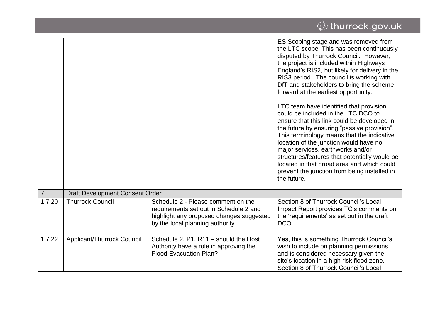|                |                                        |                                                                                                                                                              | ES Scoping stage and was removed from<br>the LTC scope. This has been continuously<br>disputed by Thurrock Council. However,<br>the project is included within Highways<br>England's RIS2, but likely for delivery in the<br>RIS3 period. The council is working with<br>DfT and stakeholders to bring the scheme<br>forward at the earliest opportunity.<br>LTC team have identified that provision<br>could be included in the LTC DCO to<br>ensure that this link could be developed in<br>the future by ensuring "passive provision".<br>This terminology means that the indicative<br>location of the junction would have no<br>major services, earthworks and/or<br>structures/features that potentially would be<br>located in that broad area and which could<br>prevent the junction from being installed in<br>the future. |
|----------------|----------------------------------------|--------------------------------------------------------------------------------------------------------------------------------------------------------------|--------------------------------------------------------------------------------------------------------------------------------------------------------------------------------------------------------------------------------------------------------------------------------------------------------------------------------------------------------------------------------------------------------------------------------------------------------------------------------------------------------------------------------------------------------------------------------------------------------------------------------------------------------------------------------------------------------------------------------------------------------------------------------------------------------------------------------------|
| $\overline{7}$ | <b>Draft Development Consent Order</b> |                                                                                                                                                              |                                                                                                                                                                                                                                                                                                                                                                                                                                                                                                                                                                                                                                                                                                                                                                                                                                      |
| 1.7.20         | <b>Thurrock Council</b>                | Schedule 2 - Please comment on the<br>requirements set out in Schedule 2 and<br>highlight any proposed changes suggested<br>by the local planning authority. | Section 8 of Thurrock Council's Local<br>Impact Report provides TC's comments on<br>the 'requirements' as set out in the draft<br>DCO.                                                                                                                                                                                                                                                                                                                                                                                                                                                                                                                                                                                                                                                                                               |
| 1.7.22         | Applicant/Thurrock Council             | Schedule 2, P1, R11 - should the Host<br>Authority have a role in approving the<br><b>Flood Evacuation Plan?</b>                                             | Yes, this is something Thurrock Council's<br>wish to include on planning permissions<br>and is considered necessary given the<br>site's location in a high risk flood zone.<br>Section 8 of Thurrock Council's Local                                                                                                                                                                                                                                                                                                                                                                                                                                                                                                                                                                                                                 |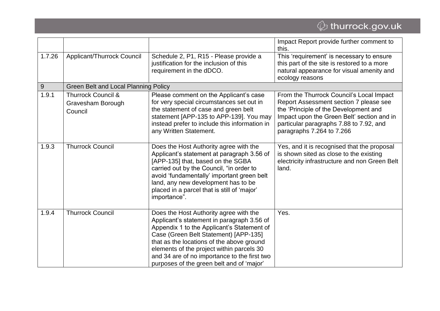# $\overline{\mathcal{Q}}$  thurrock.gov.uk

|        |                                                               |                                                                                                                                                                                                                                                                                                                                                                    | Impact Report provide further comment to<br>this.                                                                                                                                                                                                 |
|--------|---------------------------------------------------------------|--------------------------------------------------------------------------------------------------------------------------------------------------------------------------------------------------------------------------------------------------------------------------------------------------------------------------------------------------------------------|---------------------------------------------------------------------------------------------------------------------------------------------------------------------------------------------------------------------------------------------------|
| 1.7.26 | Applicant/Thurrock Council                                    | Schedule 2, P1, R15 - Please provide a<br>justification for the inclusion of this<br>requirement in the dDCO.                                                                                                                                                                                                                                                      | This 'requirement' is necessary to ensure<br>this part of the site is restored to a more<br>natural appearance for visual amenity and<br>ecology reasons                                                                                          |
| 9      | <b>Green Belt and Local Planning Policy</b>                   |                                                                                                                                                                                                                                                                                                                                                                    |                                                                                                                                                                                                                                                   |
| 1.9.1  | <b>Thurrock Council &amp;</b><br>Gravesham Borough<br>Council | Please comment on the Applicant's case<br>for very special circumstances set out in<br>the statement of case and green belt<br>statement [APP-135 to APP-139]. You may<br>instead prefer to include this information in<br>any Written Statement.                                                                                                                  | From the Thurrock Council's Local Impact<br>Report Assessment section 7 please see<br>the 'Principle of the Development and<br>Impact upon the Green Belt' section and in<br>particular paragraphs 7.88 to 7.92, and<br>paragraphs 7.264 to 7.266 |
| 1.9.3  | <b>Thurrock Council</b>                                       | Does the Host Authority agree with the<br>Applicant's statement at paragraph 3.56 of<br>[APP-135] that, based on the SGBA<br>carried out by the Council, "in order to<br>avoid 'fundamentally' important green belt<br>land, any new development has to be<br>placed in a parcel that is still of 'major'<br>importance".                                          | Yes, and it is recognised that the proposal<br>is shown sited as close to the existing<br>electricity infrastructure and non Green Belt<br>land.                                                                                                  |
| 1.9.4  | <b>Thurrock Council</b>                                       | Does the Host Authority agree with the<br>Applicant's statement in paragraph 3.56 of<br>Appendix 1 to the Applicant's Statement of<br>Case (Green Belt Statement) [APP-135]<br>that as the locations of the above ground<br>elements of the project within parcels 30<br>and 34 are of no importance to the first two<br>purposes of the green belt and of 'major' | Yes.                                                                                                                                                                                                                                              |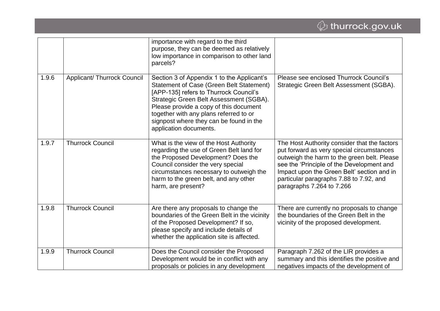|       |                                    | importance with regard to the third<br>purpose, they can be deemed as relatively<br>low importance in comparison to other land<br>parcels?                                                                                                                                                                                                  |                                                                                                                                                                                                                                                                                                             |
|-------|------------------------------------|---------------------------------------------------------------------------------------------------------------------------------------------------------------------------------------------------------------------------------------------------------------------------------------------------------------------------------------------|-------------------------------------------------------------------------------------------------------------------------------------------------------------------------------------------------------------------------------------------------------------------------------------------------------------|
| 1.9.6 | <b>Applicant/ Thurrock Council</b> | Section 3 of Appendix 1 to the Applicant's<br><b>Statement of Case (Green Belt Statement)</b><br>[APP-135] refers to Thurrock Council's<br>Strategic Green Belt Assessment (SGBA).<br>Please provide a copy of this document<br>together with any plans referred to or<br>signpost where they can be found in the<br>application documents. | Please see enclosed Thurrock Council's<br>Strategic Green Belt Assessment (SGBA).                                                                                                                                                                                                                           |
| 1.9.7 | <b>Thurrock Council</b>            | What is the view of the Host Authority<br>regarding the use of Green Belt land for<br>the Proposed Development? Does the<br>Council consider the very special<br>circumstances necessary to outweigh the<br>harm to the green belt, and any other<br>harm, are present?                                                                     | The Host Authority consider that the factors<br>put forward as very special circumstances<br>outweigh the harm to the green belt. Please<br>see the 'Principle of the Development and<br>Impact upon the Green Belt' section and in<br>particular paragraphs 7.88 to 7.92, and<br>paragraphs 7.264 to 7.266 |
| 1.9.8 | <b>Thurrock Council</b>            | Are there any proposals to change the<br>boundaries of the Green Belt in the vicinity<br>of the Proposed Development? If so,<br>please specify and include details of<br>whether the application site is affected.                                                                                                                          | There are currently no proposals to change<br>the boundaries of the Green Belt in the<br>vicinity of the proposed development.                                                                                                                                                                              |
| 1.9.9 | <b>Thurrock Council</b>            | Does the Council consider the Proposed<br>Development would be in conflict with any<br>proposals or policies in any development                                                                                                                                                                                                             | Paragraph 7.262 of the LIR provides a<br>summary and this identifies the positive and<br>negatives impacts of the development of                                                                                                                                                                            |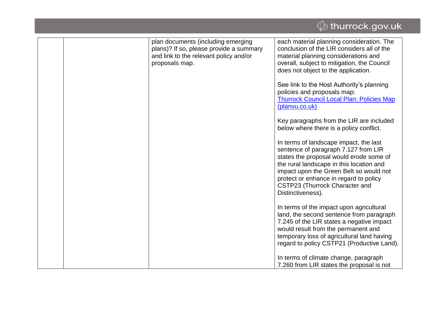### *ᠿ* thurrock.gov.uk plan documents (including emerging each material planning consideration. The plans)? If so, please provide a summary conclusion of the LIR considers all of the and link to the relevant policy and/or material planning considerations and proposals map. overall, subject to mitigation, the Council does not object to the application. See link to the Host Authority's planning policies and proposals map: [Thurrock Council Local Plan: Policies Map](http://www.planvu.co.uk/thurrock/)  [\(planvu.co.uk\)](http://www.planvu.co.uk/thurrock/) Key paragraphs from the LIR are included below where there is a policy conflict. In terms of landscape impact, the last sentence of paragraph 7.127 from LIR states the proposal would erode some of the rural landscape in this location and impact upon the Green Belt so would not protect or enhance in regard to policy CSTP23 (Thurrock Character and Distinctiveness). In terms of the impact upon agricultural land, the second sentence from paragraph 7.245 of the LIR states a negative impact would result from the permanent and temporary loss of agricultural land having regard to policy CSTP21 (Productive Land). In terms of climate change, paragraph 7.260 from LIR states the proposal is not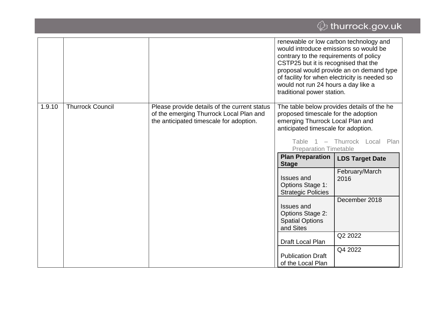# $\overline{\mathcal{Q}}$  thurrock.gov.uk

|        |                         |                                                                                                                                    | renewable or low carbon technology and<br>would introduce emissions so would be<br>contrary to the requirements of policy<br>CSTP25 but it is recognised that the<br>would not run 24 hours a day like a<br>traditional power station. | proposal would provide an on demand type<br>of facility for when electricity is needed so |
|--------|-------------------------|------------------------------------------------------------------------------------------------------------------------------------|----------------------------------------------------------------------------------------------------------------------------------------------------------------------------------------------------------------------------------------|-------------------------------------------------------------------------------------------|
| 1.9.10 | <b>Thurrock Council</b> | Please provide details of the current status<br>of the emerging Thurrock Local Plan and<br>the anticipated timescale for adoption. | proposed timescale for the adoption<br>emerging Thurrock Local Plan and<br>anticipated timescale for adoption.<br>Table<br>$\overline{1}$<br>$\overline{\phantom{a}}$                                                                  | The table below provides details of the he<br>Thurrock Local<br>Plan                      |
|        |                         |                                                                                                                                    | <b>Preparation Timetable</b><br><b>Plan Preparation</b>                                                                                                                                                                                | <b>LDS Target Date</b>                                                                    |
|        |                         |                                                                                                                                    | <b>Stage</b>                                                                                                                                                                                                                           |                                                                                           |
|        |                         |                                                                                                                                    | <b>Issues and</b><br>Options Stage 1:<br><b>Strategic Policies</b>                                                                                                                                                                     | February/March<br>2016                                                                    |
|        |                         |                                                                                                                                    | <b>Issues and</b><br><b>Options Stage 2:</b><br><b>Spatial Options</b><br>and Sites                                                                                                                                                    | December 2018                                                                             |
|        |                         |                                                                                                                                    | Draft Local Plan                                                                                                                                                                                                                       | Q2 2022                                                                                   |
|        |                         |                                                                                                                                    | <b>Publication Draft</b><br>of the Local Plan                                                                                                                                                                                          | Q4 2022                                                                                   |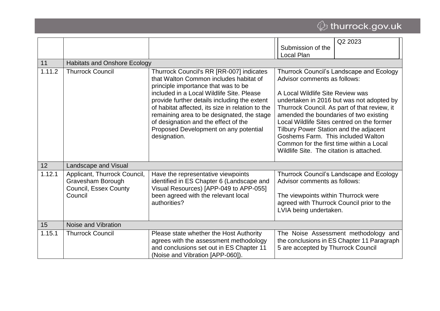# $\overline{\mathcal{Q}}$  thurrock.gov.uk

|        |                                                                                       |                                                                                                                                                                                                                                                                                                                                                                                                                           | Submission of the                                                                                                                                                                                                                                                                  | Q2 2023                                                                                                                                                                             |
|--------|---------------------------------------------------------------------------------------|---------------------------------------------------------------------------------------------------------------------------------------------------------------------------------------------------------------------------------------------------------------------------------------------------------------------------------------------------------------------------------------------------------------------------|------------------------------------------------------------------------------------------------------------------------------------------------------------------------------------------------------------------------------------------------------------------------------------|-------------------------------------------------------------------------------------------------------------------------------------------------------------------------------------|
|        |                                                                                       |                                                                                                                                                                                                                                                                                                                                                                                                                           | Local Plan                                                                                                                                                                                                                                                                         |                                                                                                                                                                                     |
| 11     | <b>Habitats and Onshore Ecology</b>                                                   |                                                                                                                                                                                                                                                                                                                                                                                                                           |                                                                                                                                                                                                                                                                                    |                                                                                                                                                                                     |
| 1.11.2 | <b>Thurrock Council</b>                                                               | Thurrock Council's RR [RR-007] indicates<br>that Walton Common includes habitat of<br>principle importance that was to be<br>included in a Local Wildlife Site, Please<br>provide further details including the extent<br>of habitat affected, its size in relation to the<br>remaining area to be designated, the stage<br>of designation and the effect of the<br>Proposed Development on any potential<br>designation. | Advisor comments as follows:<br>A Local Wildlife Site Review was<br>amended the boundaries of two existing<br>Tilbury Power Station and the adjacent<br>Goshems Farm. This included Walton<br>Common for the first time within a Local<br>Wildlife Site. The citation is attached. | Thurrock Council's Landscape and Ecology<br>undertaken in 2016 but was not adopted by<br>Thurrock Council. As part of that review, it<br>Local Wildlife Sites centred on the former |
| 12     | Landscape and Visual                                                                  |                                                                                                                                                                                                                                                                                                                                                                                                                           |                                                                                                                                                                                                                                                                                    |                                                                                                                                                                                     |
| 1.12.1 | Applicant, Thurrock Council,<br>Gravesham Borough<br>Council, Essex County<br>Council | Have the representative viewpoints<br>identified in ES Chapter 6 (Landscape and<br>Visual Resources) [APP-049 to APP-055]<br>been agreed with the relevant local<br>authorities?                                                                                                                                                                                                                                          | Advisor comments as follows:<br>The viewpoints within Thurrock were<br>LVIA being undertaken.                                                                                                                                                                                      | Thurrock Council's Landscape and Ecology<br>agreed with Thurrock Council prior to the                                                                                               |
| 15     | Noise and Vibration                                                                   |                                                                                                                                                                                                                                                                                                                                                                                                                           |                                                                                                                                                                                                                                                                                    |                                                                                                                                                                                     |
| 1.15.1 | <b>Thurrock Council</b>                                                               | Please state whether the Host Authority<br>agrees with the assessment methodology<br>and conclusions set out in ES Chapter 11<br>(Noise and Vibration [APP-060]).                                                                                                                                                                                                                                                         | 5 are accepted by Thurrock Council                                                                                                                                                                                                                                                 | The Noise Assessment methodology and<br>the conclusions in ES Chapter 11 Paragraph                                                                                                  |